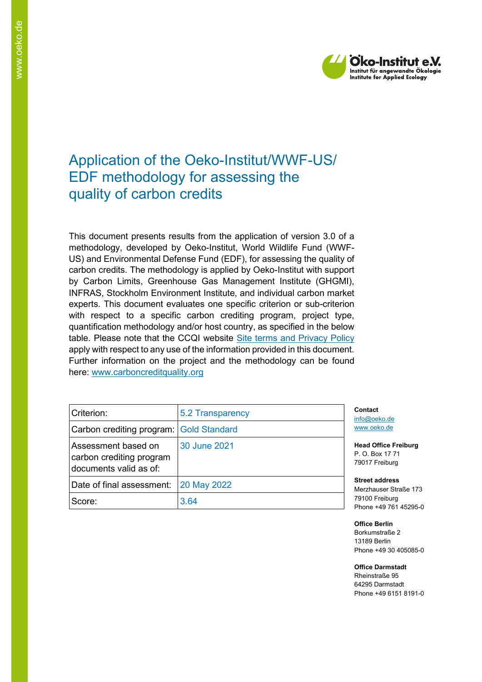

# Application of the Oeko-Institut/WWF-US/ EDF methodology for assessing the quality of carbon credits

This document presents results from the application of version 3.0 of a methodology, developed by Oeko-Institut, World Wildlife Fund (WWF-US) and Environmental Defense Fund (EDF), for assessing the quality of carbon credits. The methodology is applied by Oeko-Institut with support by Carbon Limits, Greenhouse Gas Management Institute (GHGMI), INFRAS, Stockholm Environment Institute, and individual carbon market experts. This document evaluates one specific criterion or sub-criterion with respect to a specific carbon crediting program, project type, quantification methodology and/or host country, as specified in the below table. Please note that the CCQI website [Site terms and Privacy Policy](https://carboncreditquality.org/terms.html) apply with respect to any use of the information provided in this document. Further information on the project and the methodology can be found here: [www.carboncreditquality.org](http://www.carboncreditquality.org/)

| Criterion:                                                                | 5.2 Transparency | Co<br>infc         |
|---------------------------------------------------------------------------|------------------|--------------------|
| Carbon crediting program: Gold Standard                                   |                  | <b>WW</b>          |
| Assessment based on<br>carbon crediting program<br>documents valid as of: | 30 June 2021     | Hea<br>P. 0<br>790 |
| Date of final assessment:                                                 | 20 May 2022      | Str<br>Me          |
| Score:                                                                    | 3.64             | 791<br>Pho         |

**Contact** aceko.de w.oeko.de

**Head Office Freiburg** P. O. Box 17 71 017 Freiburg

**Street address** Merzhauser Straße 173 100 Freiburg one +49 761 45295-0

**Office Berlin** Borkumstraße 2 13189 Berlin Phone +49 30 405085-0

**Office Darmstadt** Rheinstraße 95

64295 Darmstadt Phone +49 6151 8191-0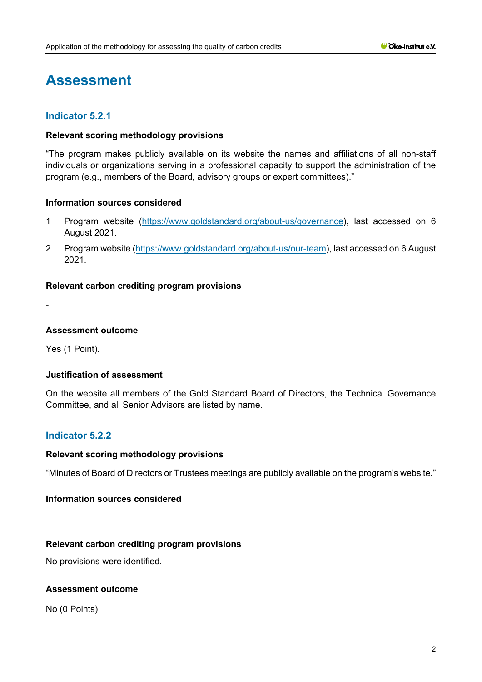# **Assessment**

# **Indicator 5.2.1**

#### **Relevant scoring methodology provisions**

"The program makes publicly available on its website the names and affiliations of all non-staff individuals or organizations serving in a professional capacity to support the administration of the program (e.g., members of the Board, advisory groups or expert committees)."

#### **Information sources considered**

- 1 Program website [\(https://www.goldstandard.org/about-us/governance\)](https://www.goldstandard.org/about-us/governance), last accessed on 6 August 2021.
- 2 Program website [\(https://www.goldstandard.org/about-us/our-team\)](https://www.goldstandard.org/about-us/our-team), last accessed on 6 August 2021.

#### **Relevant carbon crediting program provisions**

-

#### **Assessment outcome**

Yes (1 Point).

# **Justification of assessment**

On the website all members of the Gold Standard Board of Directors, the Technical Governance Committee, and all Senior Advisors are listed by name.

# **Indicator 5.2.2**

#### **Relevant scoring methodology provisions**

"Minutes of Board of Directors or Trustees meetings are publicly available on the program's website."

#### **Information sources considered**

-

# **Relevant carbon crediting program provisions**

No provisions were identified.

#### **Assessment outcome**

No (0 Points).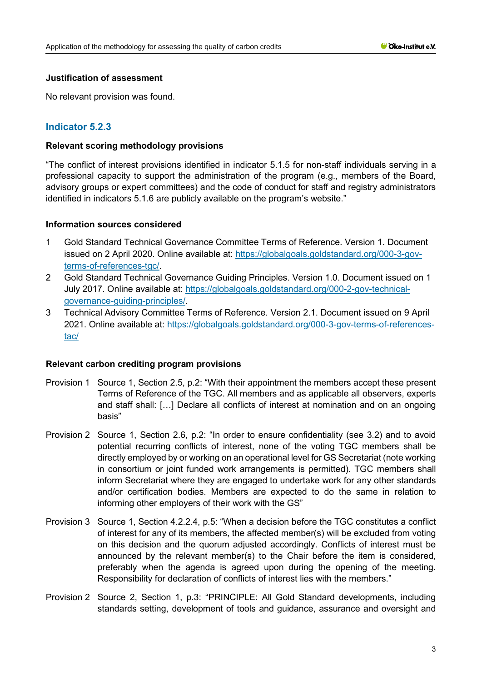## **Justification of assessment**

No relevant provision was found.

# **Indicator 5.2.3**

#### **Relevant scoring methodology provisions**

"The conflict of interest provisions identified in indicator 5.1.5 for non-staff individuals serving in a professional capacity to support the administration of the program (e.g., members of the Board, advisory groups or expert committees) and the code of conduct for staff and registry administrators identified in indicators 5.1.6 are publicly available on the program's website."

#### **Information sources considered**

- 1 Gold Standard Technical Governance Committee Terms of Reference. Version 1. Document issued on 2 April 2020. Online available at: [https://globalgoals.goldstandard.org/000-3-gov](https://globalgoals.goldstandard.org/000-3-gov-terms-of-references-tgc/)[terms-of-references-tgc/.](https://globalgoals.goldstandard.org/000-3-gov-terms-of-references-tgc/)
- 2 Gold Standard Technical Governance Guiding Principles. Version 1.0. Document issued on 1 July 2017. Online available at: [https://globalgoals.goldstandard.org/000-2-gov-technical](https://globalgoals.goldstandard.org/000-2-gov-technical-governance-guiding-principles/)[governance-guiding-principles/.](https://globalgoals.goldstandard.org/000-2-gov-technical-governance-guiding-principles/)
- 3 Technical Advisory Committee Terms of Reference. Version 2.1. Document issued on 9 April 2021. Online available at: [https://globalgoals.goldstandard.org/000-3-gov-terms-of-references](https://globalgoals.goldstandard.org/000-3-gov-terms-of-references-tac/)[tac/](https://globalgoals.goldstandard.org/000-3-gov-terms-of-references-tac/)

#### **Relevant carbon crediting program provisions**

- Provision 1 Source 1, Section 2.5, p.2: "With their appointment the members accept these present Terms of Reference of the TGC. All members and as applicable all observers, experts and staff shall: […] Declare all conflicts of interest at nomination and on an ongoing basis"
- Provision 2 Source 1, Section 2.6, p.2: "In order to ensure confidentiality (see 3.2) and to avoid potential recurring conflicts of interest, none of the voting TGC members shall be directly employed by or working on an operational level for GS Secretariat (note working in consortium or joint funded work arrangements is permitted). TGC members shall inform Secretariat where they are engaged to undertake work for any other standards and/or certification bodies. Members are expected to do the same in relation to informing other employers of their work with the GS"
- Provision 3 Source 1, Section 4.2.2.4, p.5: "When a decision before the TGC constitutes a conflict of interest for any of its members, the affected member(s) will be excluded from voting on this decision and the quorum adjusted accordingly. Conflicts of interest must be announced by the relevant member(s) to the Chair before the item is considered, preferably when the agenda is agreed upon during the opening of the meeting. Responsibility for declaration of conflicts of interest lies with the members."
- Provision 2 Source 2, Section 1, p.3: "PRINCIPLE: All Gold Standard developments, including standards setting, development of tools and guidance, assurance and oversight and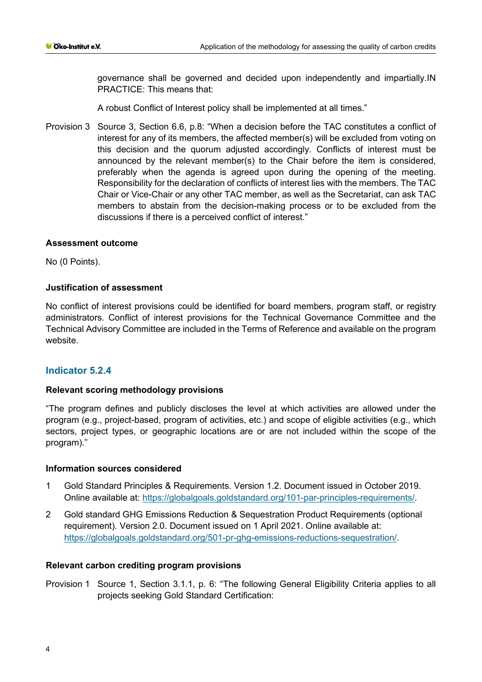governance shall be governed and decided upon independently and impartially.IN PRACTICE: This means that:

A robust Conflict of Interest policy shall be implemented at all times."

Provision 3 Source 3, Section 6.6, p.8: "When a decision before the TAC constitutes a conflict of interest for any of its members, the affected member(s) will be excluded from voting on this decision and the quorum adjusted accordingly. Conflicts of interest must be announced by the relevant member(s) to the Chair before the item is considered, preferably when the agenda is agreed upon during the opening of the meeting. Responsibility for the declaration of conflicts of interest lies with the members. The TAC Chair or Vice-Chair or any other TAC member, as well as the Secretariat, can ask TAC members to abstain from the decision-making process or to be excluded from the discussions if there is a perceived conflict of interest."

#### **Assessment outcome**

No (0 Points).

# **Justification of assessment**

No conflict of interest provisions could be identified for board members, program staff, or registry administrators. Conflict of interest provisions for the Technical Governance Committee and the Technical Advisory Committee are included in the Terms of Reference and available on the program website.

# **Indicator 5.2.4**

# **Relevant scoring methodology provisions**

"The program defines and publicly discloses the level at which activities are allowed under the program (e.g., project-based, program of activities, etc.) and scope of eligible activities (e.g., which sectors, project types, or geographic locations are or are not included within the scope of the program)."

#### **Information sources considered**

- 1 Gold Standard Principles & Requirements. Version 1.2. Document issued in October 2019. Online available at: [https://globalgoals.goldstandard.org/101-par-principles-requirements/.](https://globalgoals.goldstandard.org/101-par-principles-requirements/)
- 2 Gold standard GHG Emissions Reduction & Sequestration Product Requirements (optional requirement). Version 2.0. Document issued on 1 April 2021. Online available at: [https://globalgoals.goldstandard.org/501-pr-ghg-emissions-reductions-sequestration/.](https://globalgoals.goldstandard.org/501-pr-ghg-emissions-reductions-sequestration/)

#### **Relevant carbon crediting program provisions**

Provision 1 Source 1, Section 3.1.1, p. 6: "The following General Eligibility Criteria applies to all projects seeking Gold Standard Certification: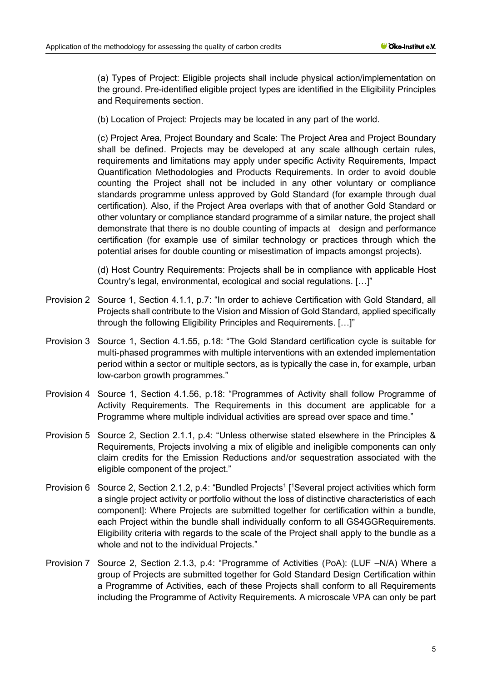(a) Types of Project: Eligible projects shall include physical action/implementation on the ground. Pre-identified eligible project types are identified in the Eligibility Principles and Requirements section.

(b) Location of Project: Projects may be located in any part of the world.

(c) Project Area, Project Boundary and Scale: The Project Area and Project Boundary shall be defined. Projects may be developed at any scale although certain rules, requirements and limitations may apply under specific Activity Requirements, Impact Quantification Methodologies and Products Requirements. In order to avoid double counting the Project shall not be included in any other voluntary or compliance standards programme unless approved by Gold Standard (for example through dual certification). Also, if the Project Area overlaps with that of another Gold Standard or other voluntary or compliance standard programme of a similar nature, the project shall demonstrate that there is no double counting of impacts at design and performance certification (for example use of similar technology or practices through which the potential arises for double counting or misestimation of impacts amongst projects).

(d) Host Country Requirements: Projects shall be in compliance with applicable Host Country's legal, environmental, ecological and social regulations. […]"

- Provision 2 Source 1, Section 4.1.1, p.7: "In order to achieve Certification with Gold Standard, all Projects shall contribute to the Vision and Mission of Gold Standard, applied specifically through the following Eligibility Principles and Requirements. […]"
- Provision 3 Source 1, Section 4.1.55, p.18: "The Gold Standard certification cycle is suitable for multi-phased programmes with multiple interventions with an extended implementation period within a sector or multiple sectors, as is typically the case in, for example, urban low-carbon growth programmes."
- Provision 4 Source 1, Section 4.1.56, p.18: "Programmes of Activity shall follow Programme of Activity Requirements. The Requirements in this document are applicable for a Programme where multiple individual activities are spread over space and time."
- Provision 5 Source 2, Section 2.1.1, p.4: "Unless otherwise stated elsewhere in the Principles & Requirements, Projects involving a mix of eligible and ineligible components can only claim credits for the Emission Reductions and/or sequestration associated with the eligible component of the project."
- Provision 6 Source 2, Section 2.1.2, p.4: "Bundled Projects<sup>1</sup> [<sup>1</sup>Several project activities which form a single project activity or portfolio without the loss of distinctive characteristics of each component]: Where Projects are submitted together for certification within a bundle, each Project within the bundle shall individually conform to all GS4GGRequirements. Eligibility criteria with regards to the scale of the Project shall apply to the bundle as a whole and not to the individual Projects."
- Provision 7 Source 2, Section 2.1.3, p.4: "Programme of Activities (PoA): (LUF –N/A) Where a group of Projects are submitted together for Gold Standard Design Certification within a Programme of Activities, each of these Projects shall conform to all Requirements including the Programme of Activity Requirements. A microscale VPA can only be part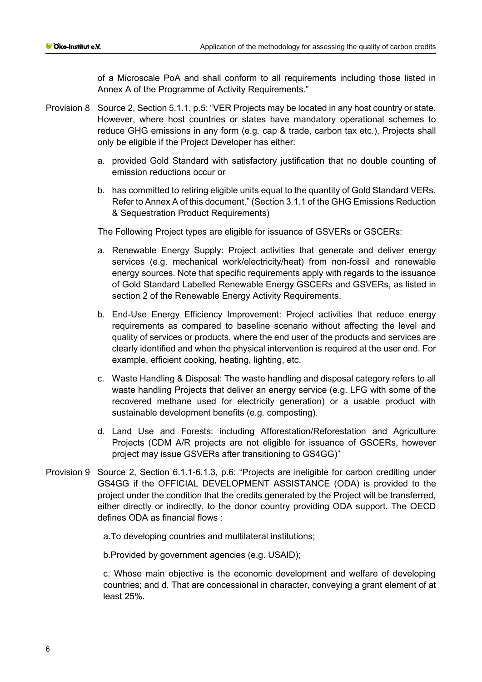of a Microscale PoA and shall conform to all requirements including those listed in Annex A of the Programme of Activity Requirements."

- Provision 8 Source 2, Section 5.1.1, p.5: "VER Projects may be located in any host country or state. However, where host countries or states have mandatory operational schemes to reduce GHG emissions in any form (e.g. cap & trade, carbon tax etc.), Projects shall only be eligible if the Project Developer has either:
	- a. provided Gold Standard with satisfactory justification that no double counting of emission reductions occur or
	- b. has committed to retiring eligible units equal to the quantity of Gold Standard VERs. Refer to Annex A of this document." (Section 3.1.1 of the GHG Emissions Reduction & Sequestration Product Requirements)

The Following Project types are eligible for issuance of GSVERs or GSCERs:

- a. Renewable Energy Supply: Project activities that generate and deliver energy services (e.g. mechanical work/electricity/heat) from non-fossil and renewable energy sources. Note that specific requirements apply with regards to the issuance of Gold Standard Labelled Renewable Energy GSCERs and GSVERs, as listed in section 2 of the Renewable Energy Activity Requirements.
- b. End-Use Energy Efficiency Improvement: Project activities that reduce energy requirements as compared to baseline scenario without affecting the level and quality of services or products, where the end user of the products and services are clearly identified and when the physical intervention is required at the user end. For example, efficient cooking, heating, lighting, etc.
- c. Waste Handling & Disposal: The waste handling and disposal category refers to all waste handling Projects that deliver an energy service (e.g. LFG with some of the recovered methane used for electricity generation) or a usable product with sustainable development benefits (e.g. composting).
- d. Land Use and Forests: including Afforestation/Reforestation and Agriculture Projects (CDM A/R projects are not eligible for issuance of GSCERs, however project may issue GSVERs after transitioning to GS4GG)"
- Provision 9 Source 2, Section 6.1.1-6.1.3, p.6: "Projects are ineligible for carbon crediting under GS4GG if the OFFICIAL DEVELOPMENT ASSISTANCE (ODA) is provided to the project under the condition that the credits generated by the Project will be transferred, either directly or indirectly, to the donor country providing ODA support. The OECD defines ODA as financial flows :

a.To developing countries and multilateral institutions;

b.Provided by government agencies (e.g. USAID);

c. Whose main objective is the economic development and welfare of developing countries; and d. That are concessional in character, conveying a grant element of at least 25%.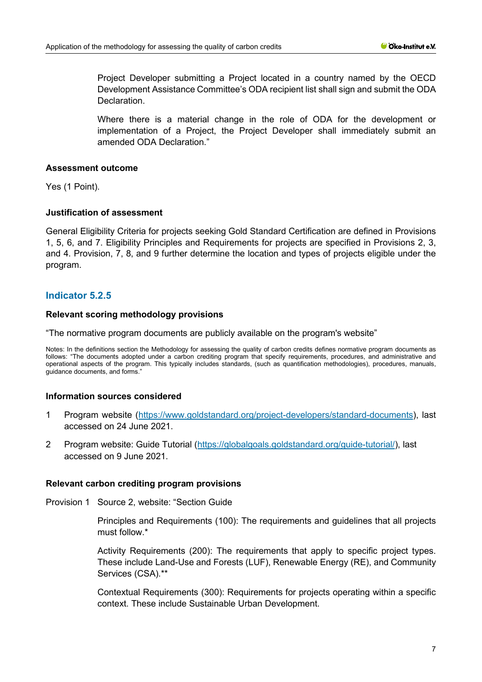Project Developer submitting a Project located in a country named by the OECD Development Assistance Committee's ODA recipient list shall sign and submit the ODA **Declaration** 

Where there is a material change in the role of ODA for the development or implementation of a Project, the Project Developer shall immediately submit an amended ODA Declaration."

#### **Assessment outcome**

Yes (1 Point).

# **Justification of assessment**

General Eligibility Criteria for projects seeking Gold Standard Certification are defined in Provisions 1, 5, 6, and 7. Eligibility Principles and Requirements for projects are specified in Provisions 2, 3, and 4. Provision, 7, 8, and 9 further determine the location and types of projects eligible under the program.

# **Indicator 5.2.5**

#### **Relevant scoring methodology provisions**

"The normative program documents are publicly available on the program's website"

Notes: In the definitions section the Methodology for assessing the quality of carbon credits defines normative program documents as follows: "The documents adopted under a carbon crediting program that specify requirements, procedures, and administrative and operational aspects of the program. This typically includes standards, (such as quantification methodologies), procedures, manuals, guidance documents, and forms."

#### **Information sources considered**

- 1 Program website [\(https://www.goldstandard.org/project-developers/standard-documents\)](https://www.goldstandard.org/project-developers/standard-documents), last accessed on 24 June 2021.
- 2 Program website: Guide Tutorial [\(https://globalgoals.goldstandard.org/guide-tutorial/\)](https://globalgoals.goldstandard.org/guide-tutorial/), last accessed on 9 June 2021.

#### **Relevant carbon crediting program provisions**

Provision 1 Source 2, website: "Section Guide

Principles and Requirements (100): The requirements and guidelines that all projects must follow.\*

Activity Requirements (200): The requirements that apply to specific project types. These include Land-Use and Forests (LUF), Renewable Energy (RE), and Community Services (CSA).\*\*

Contextual Requirements (300): Requirements for projects operating within a specific context. These include Sustainable Urban Development.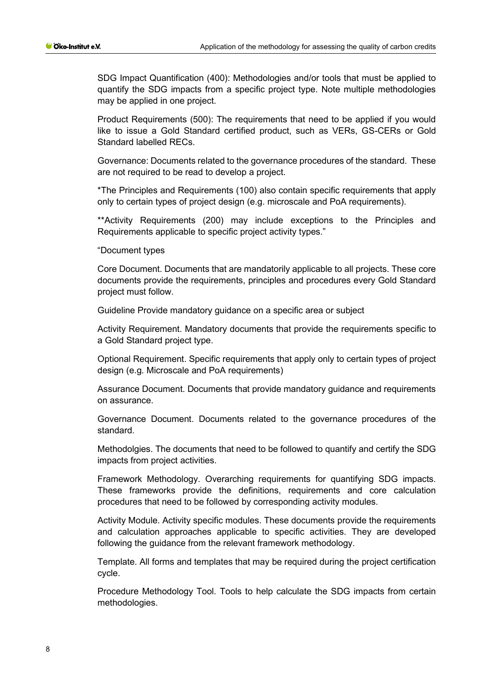SDG Impact Quantification (400): Methodologies and/or tools that must be applied to quantify the SDG impacts from a specific project type. Note multiple methodologies may be applied in one project.

Product Requirements (500): The requirements that need to be applied if you would like to issue a Gold Standard certified product, such as VERs, GS-CERs or Gold Standard labelled RECs.

Governance: Documents related to the governance procedures of the standard. These are not required to be read to develop a project.

\*The Principles and Requirements (100) also contain specific requirements that apply only to certain types of project design (e.g. microscale and PoA requirements).

\*\*Activity Requirements (200) may include exceptions to the Principles and Requirements applicable to specific project activity types."

"Document types

Core Document. Documents that are mandatorily applicable to all projects. These core documents provide the requirements, principles and procedures every Gold Standard project must follow.

Guideline Provide mandatory guidance on a specific area or subject

Activity Requirement. Mandatory documents that provide the requirements specific to a Gold Standard project type.

Optional Requirement. Specific requirements that apply only to certain types of project design (e.g. Microscale and PoA requirements)

Assurance Document. Documents that provide mandatory guidance and requirements on assurance.

Governance Document. Documents related to the governance procedures of the standard.

Methodolgies. The documents that need to be followed to quantify and certify the SDG impacts from project activities.

Framework Methodology. Overarching requirements for quantifying SDG impacts. These frameworks provide the definitions, requirements and core calculation procedures that need to be followed by corresponding activity modules.

Activity Module. Activity specific modules. These documents provide the requirements and calculation approaches applicable to specific activities. They are developed following the guidance from the relevant framework methodology.

Template. All forms and templates that may be required during the project certification cycle.

Procedure Methodology Tool. Tools to help calculate the SDG impacts from certain methodologies.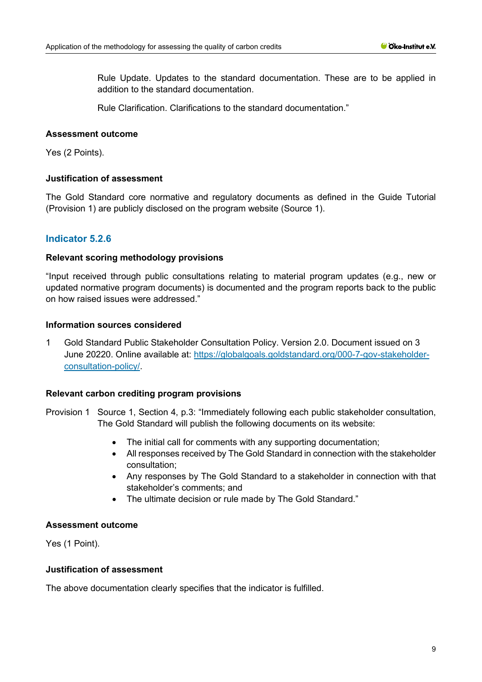Rule Update. Updates to the standard documentation. These are to be applied in addition to the standard documentation.

Rule Clarification. Clarifications to the standard documentation."

#### **Assessment outcome**

Yes (2 Points).

#### **Justification of assessment**

The Gold Standard core normative and regulatory documents as defined in the Guide Tutorial (Provision 1) are publicly disclosed on the program website (Source 1).

# **Indicator 5.2.6**

#### **Relevant scoring methodology provisions**

"Input received through public consultations relating to material program updates (e.g., new or updated normative program documents) is documented and the program reports back to the public on how raised issues were addressed."

#### **Information sources considered**

1 Gold Standard Public Stakeholder Consultation Policy. Version 2.0. Document issued on 3 June 20220. Online available at: [https://globalgoals.goldstandard.org/000-7-gov-stakeholder](https://globalgoals.goldstandard.org/000-7-gov-stakeholder-consultation-policy/)[consultation-policy/.](https://globalgoals.goldstandard.org/000-7-gov-stakeholder-consultation-policy/)

# **Relevant carbon crediting program provisions**

- Provision 1 Source 1, Section 4, p.3: "Immediately following each public stakeholder consultation, The Gold Standard will publish the following documents on its website:
	- The initial call for comments with any supporting documentation;
	- All responses received by The Gold Standard in connection with the stakeholder consultation;
	- Any responses by The Gold Standard to a stakeholder in connection with that stakeholder's comments; and
	- The ultimate decision or rule made by The Gold Standard."

#### **Assessment outcome**

Yes (1 Point).

#### **Justification of assessment**

The above documentation clearly specifies that the indicator is fulfilled.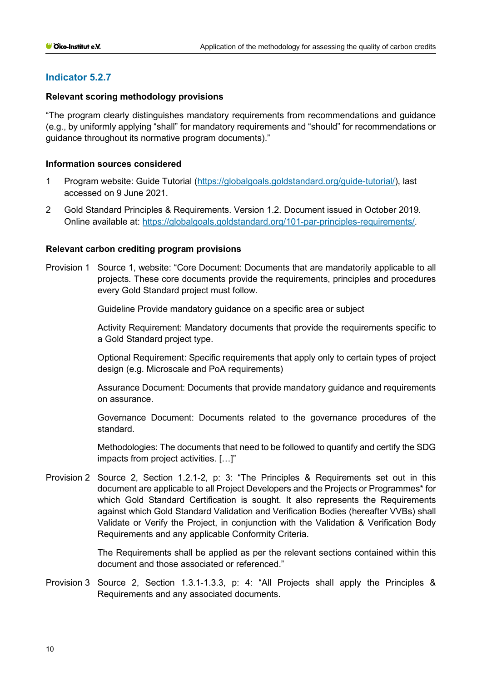# **Indicator 5.2.7**

## **Relevant scoring methodology provisions**

"The program clearly distinguishes mandatory requirements from recommendations and guidance (e.g., by uniformly applying "shall" for mandatory requirements and "should" for recommendations or guidance throughout its normative program documents)."

#### **Information sources considered**

- 1 Program website: Guide Tutorial [\(https://globalgoals.goldstandard.org/guide-tutorial/\)](https://globalgoals.goldstandard.org/guide-tutorial/), last accessed on 9 June 2021.
- 2 Gold Standard Principles & Requirements. Version 1.2. Document issued in October 2019. Online available at: [https://globalgoals.goldstandard.org/101-par-principles-requirements/.](https://globalgoals.goldstandard.org/101-par-principles-requirements/)

#### **Relevant carbon crediting program provisions**

Provision 1 Source 1, website: "Core Document: Documents that are mandatorily applicable to all projects. These core documents provide the requirements, principles and procedures every Gold Standard project must follow.

Guideline Provide mandatory guidance on a specific area or subject

Activity Requirement: Mandatory documents that provide the requirements specific to a Gold Standard project type.

Optional Requirement: Specific requirements that apply only to certain types of project design (e.g. Microscale and PoA requirements)

Assurance Document: Documents that provide mandatory guidance and requirements on assurance.

Governance Document: Documents related to the governance procedures of the standard.

Methodologies: The documents that need to be followed to quantify and certify the SDG impacts from project activities. […]"

Provision 2 Source 2, Section 1.2.1-2, p: 3: "The Principles & Requirements set out in this document are applicable to all Project Developers and the Projects or Programmes\* for which Gold Standard Certification is sought. It also represents the Requirements against which Gold Standard Validation and Verification Bodies (hereafter VVBs) shall Validate or Verify the Project, in conjunction with the Validation & Verification Body Requirements and any applicable Conformity Criteria.

> The Requirements shall be applied as per the relevant sections contained within this document and those associated or referenced."

Provision 3 Source 2, Section 1.3.1-1.3.3, p: 4: "All Projects shall apply the Principles & Requirements and any associated documents.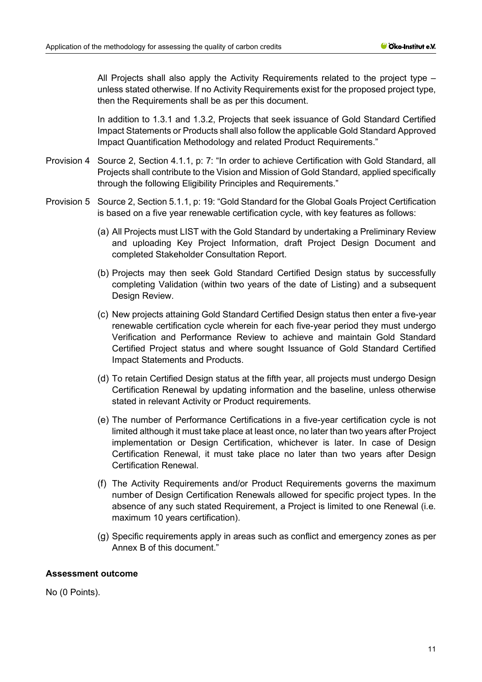All Projects shall also apply the Activity Requirements related to the project type – unless stated otherwise. If no Activity Requirements exist for the proposed project type, then the Requirements shall be as per this document.

In addition to 1.3.1 and 1.3.2, Projects that seek issuance of Gold Standard Certified Impact Statements or Products shall also follow the applicable Gold Standard Approved Impact Quantification Methodology and related Product Requirements."

- Provision 4 Source 2, Section 4.1.1, p: 7: "In order to achieve Certification with Gold Standard, all Projects shall contribute to the Vision and Mission of Gold Standard, applied specifically through the following Eligibility Principles and Requirements."
- Provision 5 Source 2, Section 5.1.1, p: 19: "Gold Standard for the Global Goals Project Certification is based on a five year renewable certification cycle, with key features as follows:
	- (a) All Projects must LIST with the Gold Standard by undertaking a Preliminary Review and uploading Key Project Information, draft Project Design Document and completed Stakeholder Consultation Report.
	- (b) Projects may then seek Gold Standard Certified Design status by successfully completing Validation (within two years of the date of Listing) and a subsequent Design Review.
	- (c) New projects attaining Gold Standard Certified Design status then enter a five-year renewable certification cycle wherein for each five-year period they must undergo Verification and Performance Review to achieve and maintain Gold Standard Certified Project status and where sought Issuance of Gold Standard Certified Impact Statements and Products.
	- (d) To retain Certified Design status at the fifth year, all projects must undergo Design Certification Renewal by updating information and the baseline, unless otherwise stated in relevant Activity or Product requirements.
	- (e) The number of Performance Certifications in a five-year certification cycle is not limited although it must take place at least once, no later than two years after Project implementation or Design Certification, whichever is later. In case of Design Certification Renewal, it must take place no later than two years after Design Certification Renewal.
	- (f) The Activity Requirements and/or Product Requirements governs the maximum number of Design Certification Renewals allowed for specific project types. In the absence of any such stated Requirement, a Project is limited to one Renewal (i.e. maximum 10 years certification).
	- (g) Specific requirements apply in areas such as conflict and emergency zones as per Annex B of this document."

# **Assessment outcome**

No (0 Points).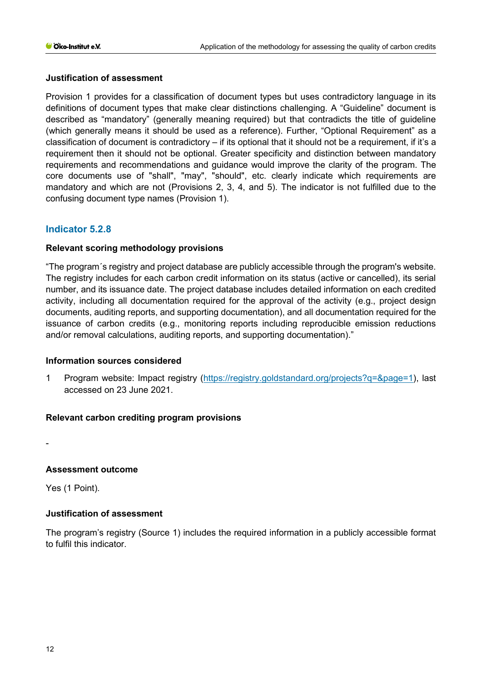# **Justification of assessment**

Provision 1 provides for a classification of document types but uses contradictory language in its definitions of document types that make clear distinctions challenging. A "Guideline" document is described as "mandatory" (generally meaning required) but that contradicts the title of guideline (which generally means it should be used as a reference). Further, "Optional Requirement" as a classification of document is contradictory – if its optional that it should not be a requirement, if it's a requirement then it should not be optional. Greater specificity and distinction between mandatory requirements and recommendations and guidance would improve the clarity of the program. The core documents use of "shall", "may", "should", etc. clearly indicate which requirements are mandatory and which are not (Provisions 2, 3, 4, and 5). The indicator is not fulfilled due to the confusing document type names (Provision 1).

# **Indicator 5.2.8**

# **Relevant scoring methodology provisions**

"The program´s registry and project database are publicly accessible through the program's website. The registry includes for each carbon credit information on its status (active or cancelled), its serial number, and its issuance date. The project database includes detailed information on each credited activity, including all documentation required for the approval of the activity (e.g., project design documents, auditing reports, and supporting documentation), and all documentation required for the issuance of carbon credits (e.g., monitoring reports including reproducible emission reductions and/or removal calculations, auditing reports, and supporting documentation)."

# **Information sources considered**

1 Program website: Impact registry [\(https://registry.goldstandard.org/projects?q=&page=1\)](https://registry.goldstandard.org/projects?q=&page=1), last accessed on 23 June 2021.

# **Relevant carbon crediting program provisions**

-

# **Assessment outcome**

Yes (1 Point).

# **Justification of assessment**

The program's registry (Source 1) includes the required information in a publicly accessible format to fulfil this indicator.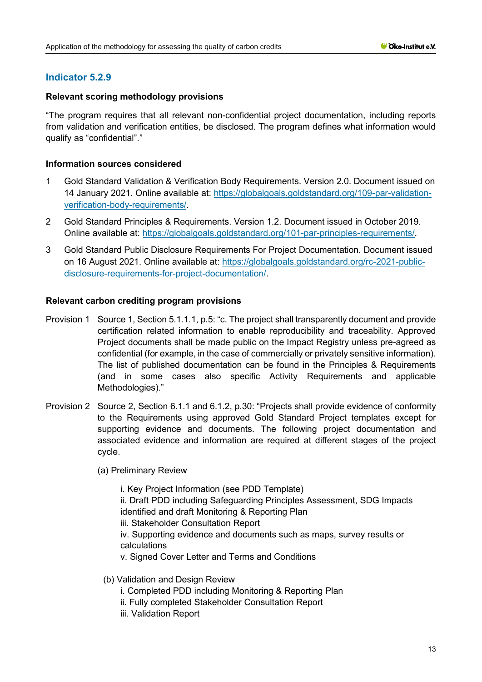# **Indicator 5.2.9**

# **Relevant scoring methodology provisions**

"The program requires that all relevant non-confidential project documentation, including reports from validation and verification entities, be disclosed. The program defines what information would qualify as "confidential"."

## **Information sources considered**

- 1 Gold Standard Validation & Verification Body Requirements. Version 2.0. Document issued on 14 January 2021. Online available at: [https://globalgoals.goldstandard.org/109-par-validation](https://globalgoals.goldstandard.org/109-par-validation-verification-body-requirements/)[verification-body-requirements/.](https://globalgoals.goldstandard.org/109-par-validation-verification-body-requirements/)
- 2 Gold Standard Principles & Requirements. Version 1.2. Document issued in October 2019. Online available at: [https://globalgoals.goldstandard.org/101-par-principles-requirements/.](https://globalgoals.goldstandard.org/101-par-principles-requirements/)
- 3 Gold Standard Public Disclosure Requirements For Project Documentation. Document issued on 16 August 2021. Online available at: [https://globalgoals.goldstandard.org/rc-2021-public](https://globalgoals.goldstandard.org/rc-2021-public-disclosure-requirements-for-project-documentation/)[disclosure-requirements-for-project-documentation/.](https://globalgoals.goldstandard.org/rc-2021-public-disclosure-requirements-for-project-documentation/)

#### **Relevant carbon crediting program provisions**

- Provision 1 Source 1, Section 5.1.1.1, p.5: "c. The project shall transparently document and provide certification related information to enable reproducibility and traceability. Approved Project documents shall be made public on the Impact Registry unless pre-agreed as confidential (for example, in the case of commercially or privately sensitive information). The list of published documentation can be found in the Principles & Requirements (and in some cases also specific Activity Requirements and applicable Methodologies)."
- Provision 2 Source 2, Section 6.1.1 and 6.1.2, p.30: "Projects shall provide evidence of conformity to the Requirements using approved Gold Standard Project templates except for supporting evidence and documents. The following project documentation and associated evidence and information are required at different stages of the project cycle.

(a) Preliminary Review

i. Key Project Information (see PDD Template) ii. Draft PDD including Safeguarding Principles Assessment, SDG Impacts identified and draft Monitoring & Reporting Plan iii. Stakeholder Consultation Report iv. Supporting evidence and documents such as maps, survey results or calculations v. Signed Cover Letter and Terms and Conditions

- (b) Validation and Design Review
	- i. Completed PDD including Monitoring & Reporting Plan
	- ii. Fully completed Stakeholder Consultation Report
	- iii. Validation Report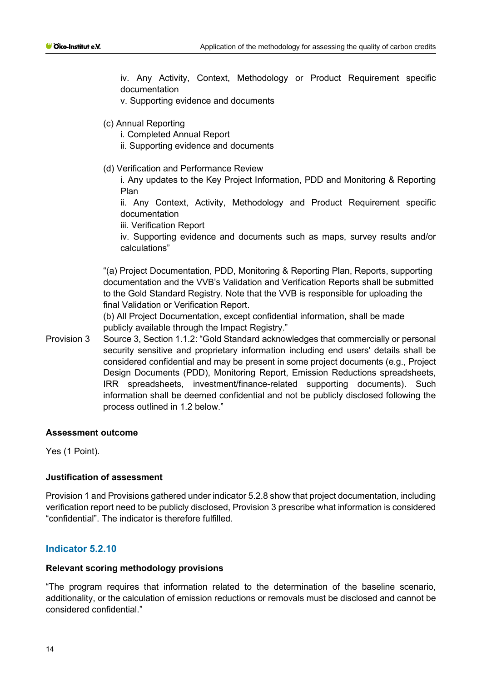iv. Any Activity, Context, Methodology or Product Requirement specific documentation

v. Supporting evidence and documents

- (c) Annual Reporting
	- i. Completed Annual Report
	- ii. Supporting evidence and documents
- (d) Verification and Performance Review

i. Any updates to the Key Project Information, PDD and Monitoring & Reporting Plan

ii. Any Context, Activity, Methodology and Product Requirement specific documentation

iii. Verification Report

iv. Supporting evidence and documents such as maps, survey results and/or calculations"

"(a) Project Documentation, PDD, Monitoring & Reporting Plan, Reports, supporting documentation and the VVB's Validation and Verification Reports shall be submitted to the Gold Standard Registry. Note that the VVB is responsible for uploading the final Validation or Verification Report.

(b) All Project Documentation, except confidential information, shall be made publicly available through the Impact Registry."

Provision 3 Source 3, Section 1.1.2: "Gold Standard acknowledges that commercially or personal security sensitive and proprietary information including end users' details shall be considered confidential and may be present in some project documents (e.g., Project Design Documents (PDD), Monitoring Report, Emission Reductions spreadsheets, IRR spreadsheets, investment/finance-related supporting documents). Such information shall be deemed confidential and not be publicly disclosed following the process outlined in 1.2 below."

#### **Assessment outcome**

Yes (1 Point).

#### **Justification of assessment**

Provision 1 and Provisions gathered under indicator 5.2.8 show that project documentation, including verification report need to be publicly disclosed, Provision 3 prescribe what information is considered "confidential". The indicator is therefore fulfilled.

# **Indicator 5.2.10**

#### **Relevant scoring methodology provisions**

"The program requires that information related to the determination of the baseline scenario, additionality, or the calculation of emission reductions or removals must be disclosed and cannot be considered confidential."